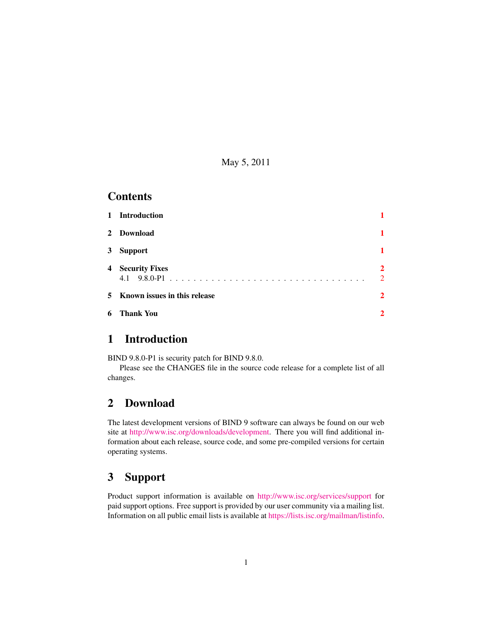May 5, 2011

#### **Contents**

|   | 1 Introduction                 |                                 |
|---|--------------------------------|---------------------------------|
|   | 2 Download                     |                                 |
|   | 3 Support                      |                                 |
|   | <b>4</b> Security Fixes        | $\overline{2}$<br>$\mathcal{D}$ |
|   | 5 Known issues in this release | $\overline{2}$                  |
| 6 | <b>Thank You</b>               | $\mathbf 2$                     |

#### <span id="page-0-0"></span>1 Introduction

BIND 9.8.0-P1 is security patch for BIND 9.8.0.

Please see the CHANGES file in the source code release for a complete list of all changes.

# <span id="page-0-1"></span>2 Download

The latest development versions of BIND 9 software can always be found on our web site at [http://www.isc.org/downloads/development.](http://www.isc.org/downloads/development) There you will find additional information about each release, source code, and some pre-compiled versions for certain operating systems.

## <span id="page-0-2"></span>3 Support

Product support information is available on <http://www.isc.org/services/support> for paid support options. Free support is provided by our user community via a mailing list. Information on all public email lists is available at [https://lists.isc.org/mailman/listinfo.](https://lists.isc.org/mailman/listinfo)